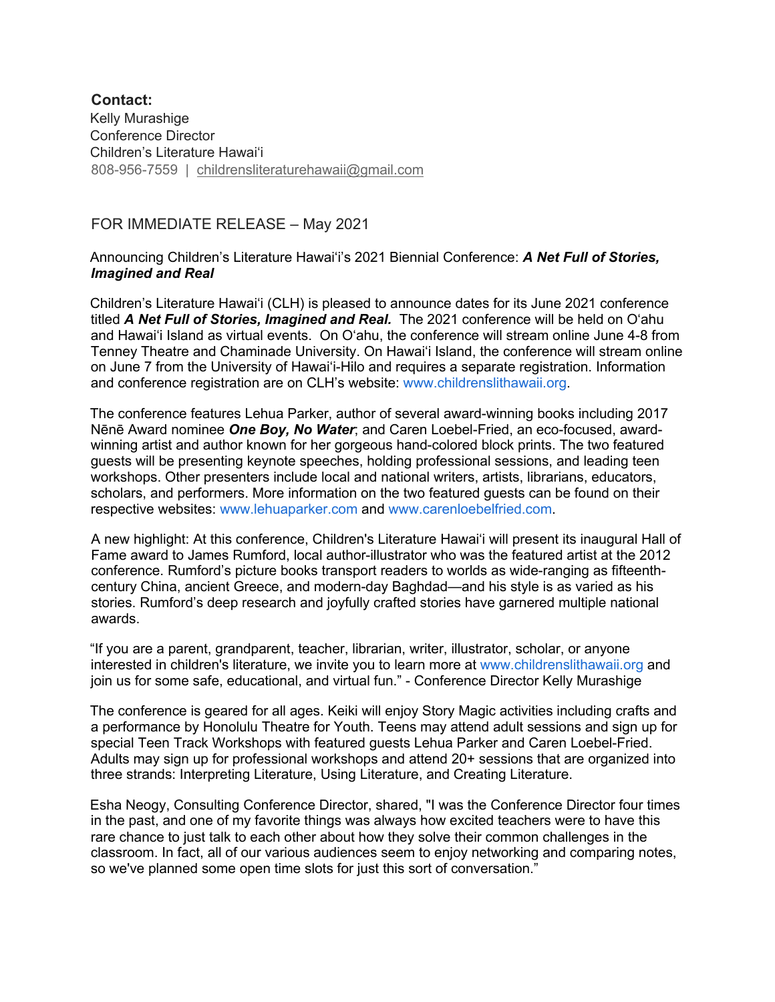## **Contact:** Kelly Murashige Conference Director Children's Literature Hawaiʻi 808-956-7559 | childrensliteraturehawaii@gmail.com

## FOR IMMEDIATE RELEASE – May 2021

## Announcing Children's Literature Hawaiʻi's 2021 Biennial Conference: *A Net Full of Stories, Imagined and Real*

Children's Literature Hawaiʻi (CLH) is pleased to announce dates for its June 2021 conference titled *A Net Full of Stories, Imagined and Real.* The 2021 conference will be held on Oʻahu and Hawaiʻi Island as virtual events. On Oʻahu, the conference will stream online June 4-8 from Tenney Theatre and Chaminade University. On Hawaiʻi Island, the conference will stream online on June 7 from the University of Hawaiʻi-Hilo and requires a separate registration. Information and conference registration are on CLH's website: www.childrenslithawaii.org.

The conference features Lehua Parker, author of several award-winning books including 2017 Nēnē Award nominee *One Boy, No Water*; and Caren Loebel-Fried, an eco-focused, awardwinning artist and author known for her gorgeous hand-colored block prints. The two featured guests will be presenting keynote speeches, holding professional sessions, and leading teen workshops. Other presenters include local and national writers, artists, librarians, educators, scholars, and performers. More information on the two featured guests can be found on their respective websites: www.lehuaparker.com and www.carenloebelfried.com.

A new highlight: At this conference, Children's Literature Hawaiʻi will present its inaugural Hall of Fame award to James Rumford, local author-illustrator who was the featured artist at the 2012 conference. Rumford's picture books transport readers to worlds as wide-ranging as fifteenthcentury China, ancient Greece, and modern-day Baghdad—and his style is as varied as his stories. Rumford's deep research and joyfully crafted stories have garnered multiple national awards.

"If you are a parent, grandparent, teacher, librarian, writer, illustrator, scholar, or anyone interested in children's literature, we invite you to learn more at www.childrenslithawaii.org and join us for some safe, educational, and virtual fun." - Conference Director Kelly Murashige

The conference is geared for all ages. Keiki will enjoy Story Magic activities including crafts and a performance by Honolulu Theatre for Youth. Teens may attend adult sessions and sign up for special Teen Track Workshops with featured guests Lehua Parker and Caren Loebel-Fried. Adults may sign up for professional workshops and attend 20+ sessions that are organized into three strands: Interpreting Literature, Using Literature, and Creating Literature.

Esha Neogy, Consulting Conference Director, shared, "I was the Conference Director four times in the past, and one of my favorite things was always how excited teachers were to have this rare chance to just talk to each other about how they solve their common challenges in the classroom. In fact, all of our various audiences seem to enjoy networking and comparing notes, so we've planned some open time slots for just this sort of conversation."